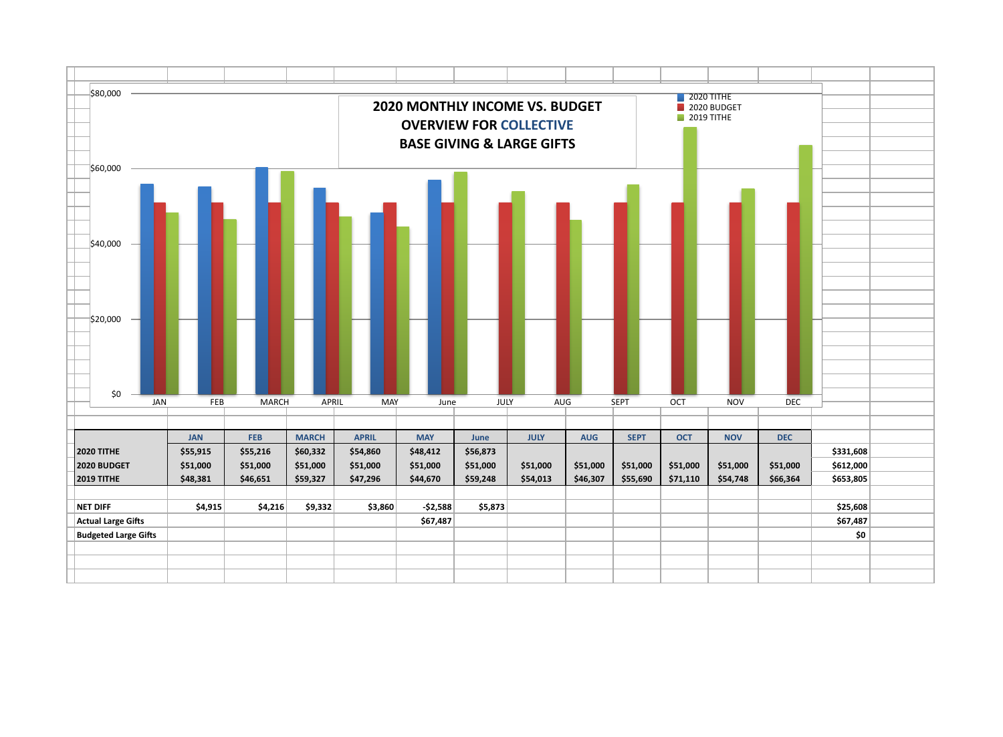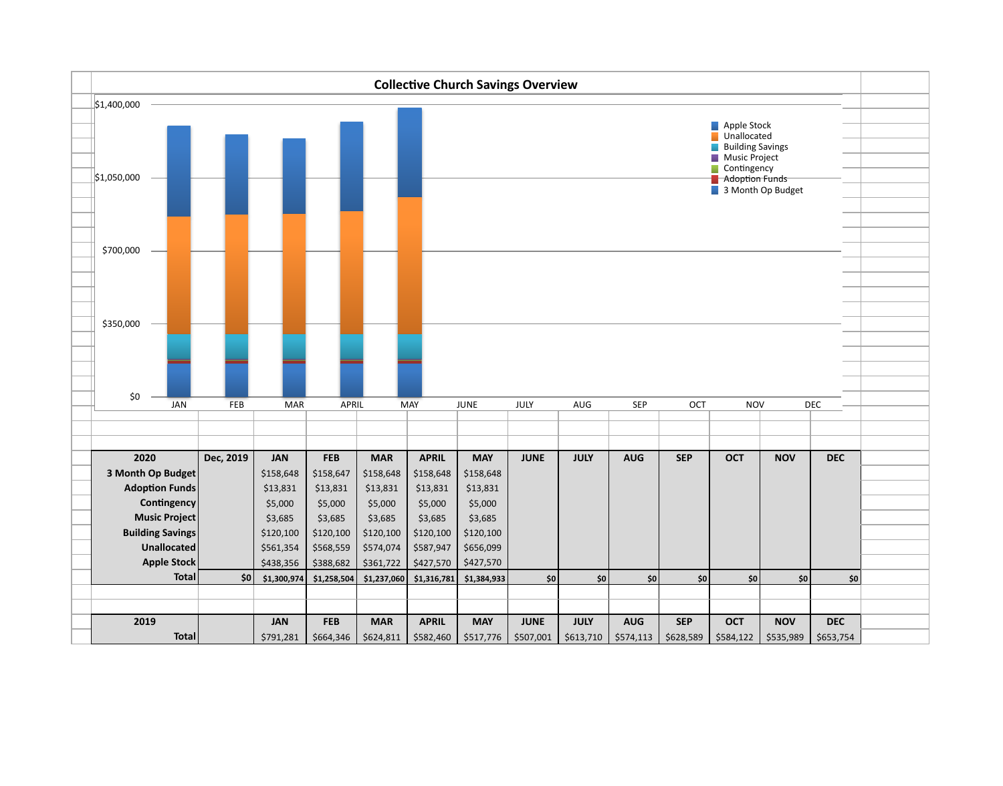